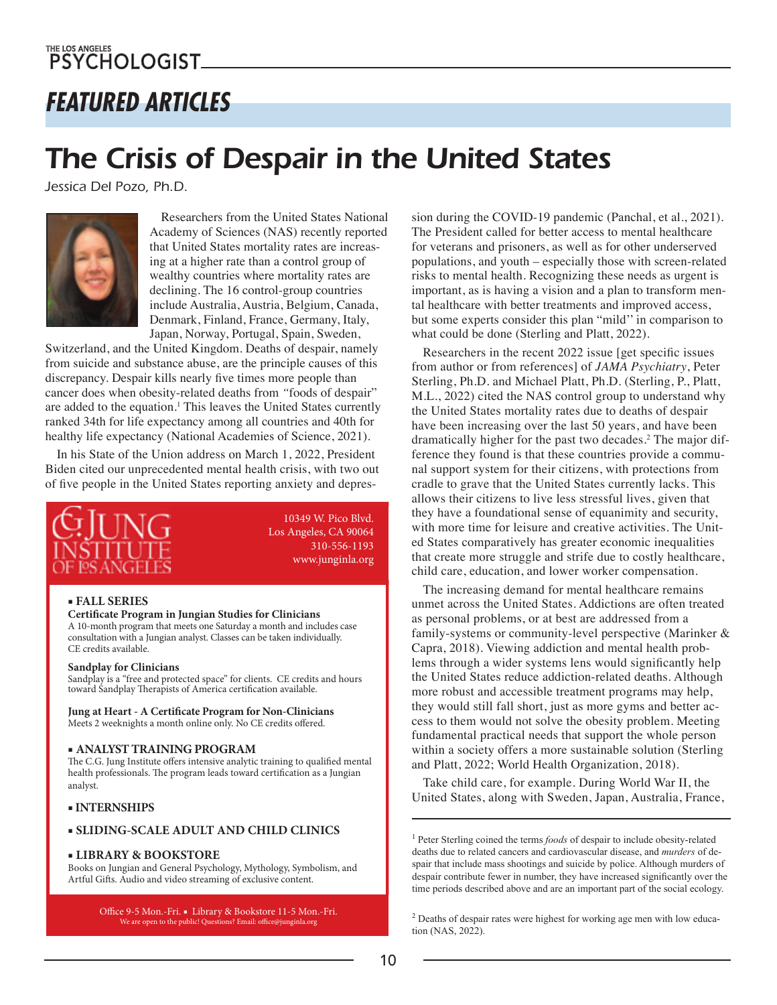## *FEATURED ARTICLES*

# *The Crisis of Despair in the United States*

*Jessica Del Pozo, Ph.D.*



Researchers from the United States National Academy of Sciences (NAS) recently reported that United States mortality rates are increasing at a higher rate than a control group of wealthy countries where mortality rates are declining. The 16 control-group countries include Australia, Austria, Belgium, Canada, Denmark, Finland, France, Germany, Italy, Japan, Norway, Portugal, Spain, Sweden,

Switzerland, and the United Kingdom. Deaths of despair, namely from suicide and substance abuse, are the principle causes of this discrepancy. Despair kills nearly five times more people than cancer does when obesity-related deaths from *"*foods of despair" are added to the equation.<sup>1</sup> This leaves the United States currently ranked 34th for life expectancy among all countries and 40th for healthy life expectancy (National Academies of Science, 2021).

In his State of the Union address on March 1, 2022, President Biden cited our unprecedented mental health crisis, with two out of five people in the United States reporting anxiety and depres-



10349 W. Pico Blvd. Los Angeles, CA 90064 310-556-1193 www.junginla.org

#### **■ FALL SERIES**

#### **Certificate Program in Jungian Studies for Clinicians**

A 10-month program that meets one Saturday a month and includes case consultation with a Jungian analyst. Classes can be taken individually. CE credits available.

#### **Sandplay for Clinicians**

Sandplay is a "free and protected space" for clients. CE credits and hours toward Sandplay Therapists of America certification available.

**Jung at Heart - A Certificate Program for Non-Clinicians** Meets 2 weeknights a month online only. No CE credits offered.

#### ■ **ANALYST TRAINING PROGRAM**

The C.G. Jung Institute offers intensive analytic training to qualified mental health professionals. The program leads toward certification as a Jungian analyst.

#### ■ **INTERNSHIPS**

#### ■ **SLIDING-SCALE ADULT AND CHILD CLINICS**

#### ■ **LIBRARY & BOOKSTORE**

Books on Jungian and General Psychology, Mythology, Symbolism, and Artful Gifts. Audio and video streaming of exclusive content.

Office 9-5 Mon.-Fri. ■ Library & Bookstore 11-5 Mon.-Fri. We are open to the public! Questions? Email: office@junginla.org

sion during the COVID-19 pandemic (Panchal, et al., 2021). The President called for better access to mental healthcare for veterans and prisoners, as well as for other underserved populations, and youth – especially those with screen-related risks to mental health. Recognizing these needs as urgent is important, as is having a vision and a plan to transform mental healthcare with better treatments and improved access, but some experts consider this plan "mild'' in comparison to what could be done (Sterling and Platt, 2022).

Researchers in the recent 2022 issue [get specific issues from author or from references] of *JAMA Psychiatry*, Peter Sterling, Ph.D. and Michael Platt, Ph.D. (Sterling, P., Platt, M.L., 2022) cited the NAS control group to understand why the United States mortality rates due to deaths of despair have been increasing over the last 50 years, and have been dramatically higher for the past two decades.<sup>2</sup> The major difference they found is that these countries provide a communal support system for their citizens, with protections from cradle to grave that the United States currently lacks. This allows their citizens to live less stressful lives, given that they have a foundational sense of equanimity and security, with more time for leisure and creative activities. The United States comparatively has greater economic inequalities that create more struggle and strife due to costly healthcare, child care, education, and lower worker compensation.

The increasing demand for mental healthcare remains unmet across the United States. Addictions are often treated as personal problems, or at best are addressed from a family-systems or community-level perspective (Marinker & Capra, 2018). Viewing addiction and mental health problems through a wider systems lens would significantly help the United States reduce addiction-related deaths. Although more robust and accessible treatment programs may help, they would still fall short, just as more gyms and better access to them would not solve the obesity problem. Meeting fundamental practical needs that support the whole person within a society offers a more sustainable solution (Sterling and Platt, 2022; World Health Organization, 2018).

Take child care, for example. During World War II, the United States, along with Sweden, Japan, Australia, France,

<sup>1</sup> Peter Sterling coined the terms *foods* of despair to include obesity-related deaths due to related cancers and cardiovascular disease, and *murders* of despair that include mass shootings and suicide by police. Although murders of despair contribute fewer in number, they have increased significantly over the time periods described above and are an important part of the social ecology.

<sup>2</sup> Deaths of despair rates were highest for working age men with low education (NAS, 2022).